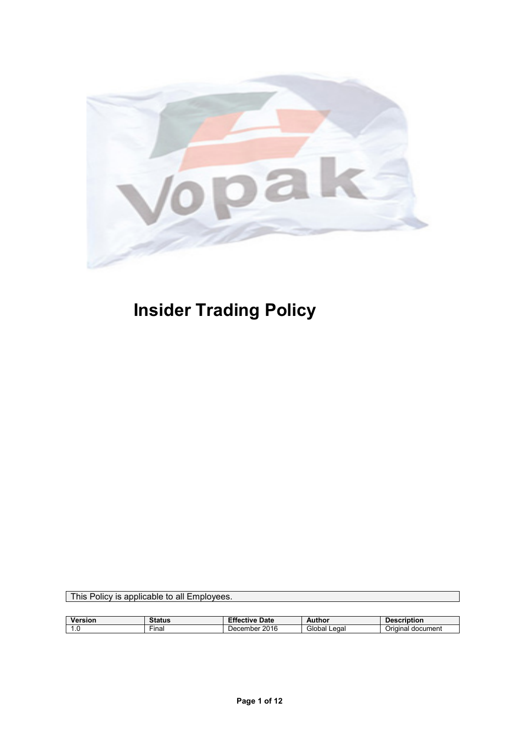

# **Insider Trading Policy**

This Policy is applicable to all Employees.

| Version             | <b>status</b>      | $-11$<br>Date<br>Effective | Author       | <b>Description</b>   |
|---------------------|--------------------|----------------------------|--------------|----------------------|
| $\cdot \cdot \cdot$ | $- \cdot$<br>⊦ınal | 2016<br>December           | Global Legal | document<br>Jrıɑınal |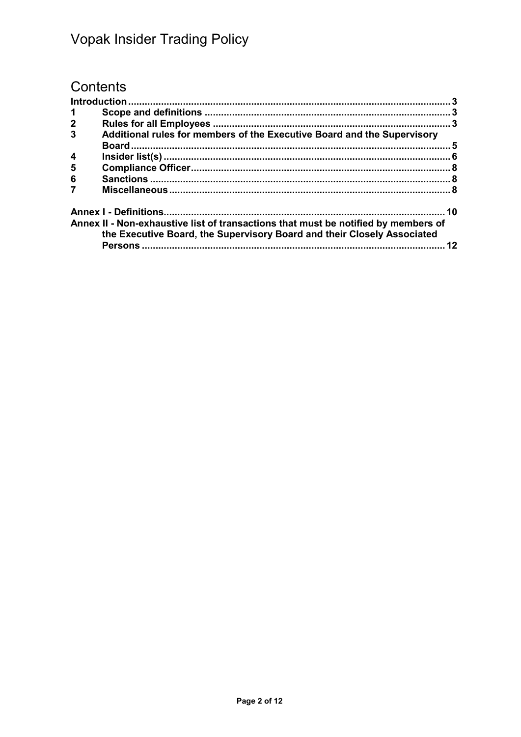## Contents

| -1               |                                                                                                                                                               |    |
|------------------|---------------------------------------------------------------------------------------------------------------------------------------------------------------|----|
| $\mathbf 2$      |                                                                                                                                                               |    |
| $\overline{3}$   | Additional rules for members of the Executive Board and the Supervisory                                                                                       |    |
| $\boldsymbol{4}$ |                                                                                                                                                               |    |
| 5                |                                                                                                                                                               |    |
| 6                |                                                                                                                                                               |    |
|                  |                                                                                                                                                               |    |
|                  |                                                                                                                                                               |    |
|                  | Annex II - Non-exhaustive list of transactions that must be notified by members of<br>the Executive Board, the Supervisory Board and their Closely Associated |    |
|                  |                                                                                                                                                               | 12 |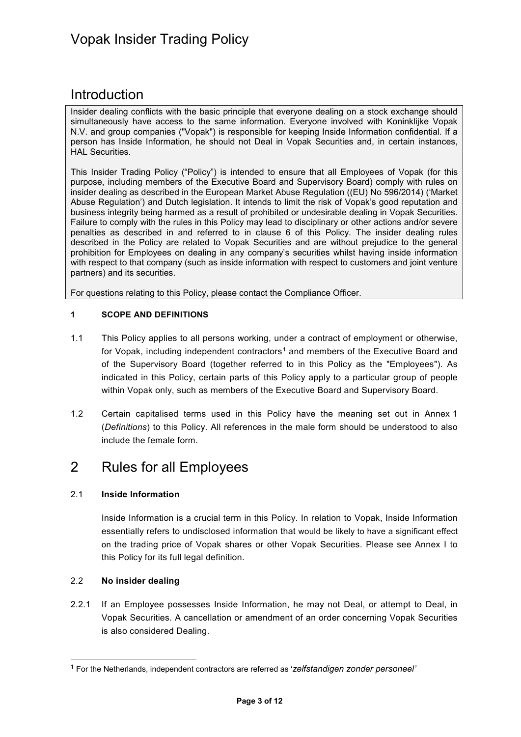## <span id="page-2-0"></span>Introduction

Insider dealing conflicts with the basic principle that everyone dealing on a stock exchange should simultaneously have access to the same information. Everyone involved with Koninklijke Vopak N.V. and group companies ("Vopak") is responsible for keeping Inside Information confidential. If a person has Inside Information, he should not Deal in Vopak Securities and, in certain instances, HAL Securities.

This Insider Trading Policy ("Policy") is intended to ensure that all Employees of Vopak (for this purpose, including members of the Executive Board and Supervisory Board) comply with rules on insider dealing as described in the European Market Abuse Regulation ((EU) No 596/2014) ('Market Abuse Regulation') and Dutch legislation. It intends to limit the risk of Vopak's good reputation and business integrity being harmed as a result of prohibited or undesirable dealing in Vopak Securities. Failure to comply with the rules in this Policy may lead to disciplinary or other actions and/or severe penalties as described in and referred to in clause 6 of this Policy. The insider dealing rules described in the Policy are related to Vopak Securities and are without prejudice to the general prohibition for Employees on dealing in any company's securities whilst having inside information with respect to that company (such as inside information with respect to customers and joint venture partners) and its securities.

For questions relating to this Policy, please contact the Compliance Officer.

#### <span id="page-2-1"></span>**1 SCOPE AND DEFINITIONS**

- 1.1 This Policy applies to all persons working, under a contract of employment or otherwise, for Vopak, including independent contractors<sup>[1](#page-2-3)</sup> and members of the Executive Board and of the Supervisory Board (together referred to in this Policy as the "Employees"). As indicated in this Policy, certain parts of this Policy apply to a particular group of people within Vopak only, such as members of the Executive Board and Supervisory Board.
- 1.2 Certain capitalised terms used in this Policy have the meaning set out in Annex 1 (*Definitions*) to this Policy. All references in the male form should be understood to also include the female form.

## <span id="page-2-2"></span>2 Rules for all Employees

#### 2.1 **Inside Information**

Inside Information is a crucial term in this Policy. In relation to Vopak, Inside Information essentially refers to undisclosed information that would be likely to have a significant effect on the trading price of Vopak shares or other Vopak Securities. Please see Annex I to this Policy for its full legal definition.

#### 2.2 **No insider dealing**

2.2.1 If an Employee possesses Inside Information, he may not Deal, or attempt to Deal, in Vopak Securities. A cancellation or amendment of an order concerning Vopak Securities is also considered Dealing.

<span id="page-2-3"></span> **<sup>1</sup>** For the Netherlands, independent contractors are referred as '*zelfstandigen zonder personeel'*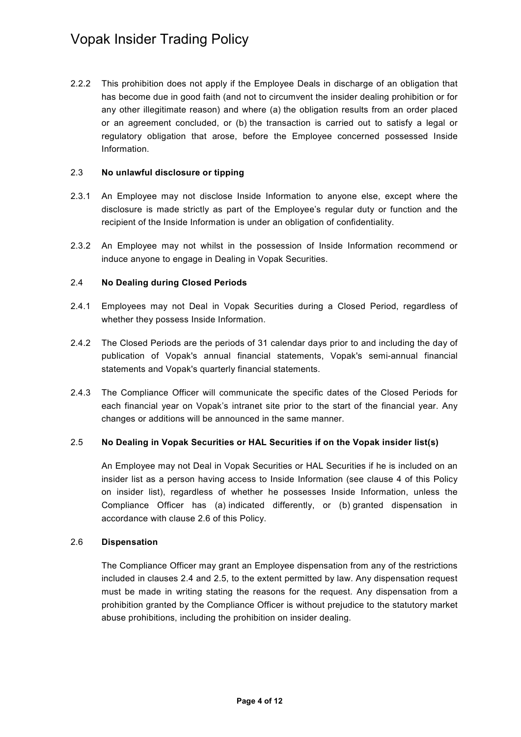2.2.2 This prohibition does not apply if the Employee Deals in discharge of an obligation that has become due in good faith (and not to circumvent the insider dealing prohibition or for any other illegitimate reason) and where (a) the obligation results from an order placed or an agreement concluded, or (b) the transaction is carried out to satisfy a legal or regulatory obligation that arose, before the Employee concerned possessed Inside Information.

#### 2.3 **No unlawful disclosure or tipping**

- 2.3.1 An Employee may not disclose Inside Information to anyone else, except where the disclosure is made strictly as part of the Employee's regular duty or function and the recipient of the Inside Information is under an obligation of confidentiality.
- 2.3.2 An Employee may not whilst in the possession of Inside Information recommend or induce anyone to engage in Dealing in Vopak Securities.

#### <span id="page-3-1"></span>2.4 **No Dealing during Closed Periods**

- 2.4.1 Employees may not Deal in Vopak Securities during a Closed Period, regardless of whether they possess Inside Information.
- <span id="page-3-3"></span>2.4.2 The Closed Periods are the periods of 31 calendar days prior to and including the day of publication of Vopak's annual financial statements, Vopak's semi-annual financial statements and Vopak's quarterly financial statements.
- 2.4.3 The Compliance Officer will communicate the specific dates of the Closed Periods for each financial year on Vopak's intranet site prior to the start of the financial year. Any changes or additions will be announced in the same manner.

#### <span id="page-3-2"></span>2.5 **No Dealing in Vopak Securities or HAL Securities if on the Vopak insider list(s)**

An Employee may not Deal in Vopak Securities or HAL Securities if he is included on an insider list as a person having access to Inside Information (see clause 4 of this Policy on insider list), regardless of whether he possesses Inside Information, unless the Compliance Officer has (a) indicated differently, or (b) granted dispensation in accordance with clause [2.6](#page-3-0) of this Policy.

#### <span id="page-3-0"></span>2.6 **Dispensation**

The Compliance Officer may grant an Employee dispensation from any of the restrictions included in clauses [2.4](#page-3-1) and [2.5,](#page-3-2) to the extent permitted by law. Any dispensation request must be made in writing stating the reasons for the request. Any dispensation from a prohibition granted by the Compliance Officer is without prejudice to the statutory market abuse prohibitions, including the prohibition on insider dealing.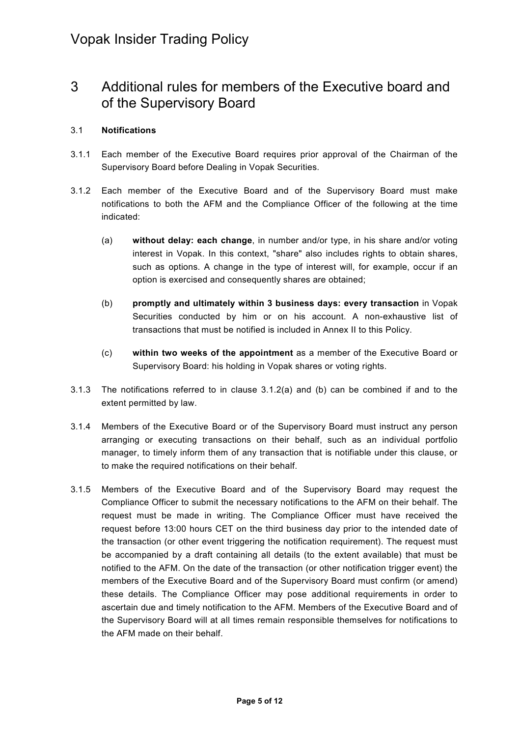## <span id="page-4-0"></span>3 Additional rules for members of the Executive board and of the Supervisory Board

#### 3.1 **Notifications**

- 3.1.1 Each member of the Executive Board requires prior approval of the Chairman of the Supervisory Board before Dealing in Vopak Securities.
- <span id="page-4-1"></span>3.1.2 Each member of the Executive Board and of the Supervisory Board must make notifications to both the AFM and the Compliance Officer of the following at the time indicated:
	- (a) **without delay: each change**, in number and/or type, in his share and/or voting interest in Vopak. In this context, "share" also includes rights to obtain shares, such as options. A change in the type of interest will, for example, occur if an option is exercised and consequently shares are obtained;
	- (b) **promptly and ultimately within 3 business days: every transaction** in Vopak Securities conducted by him or on his account. A non-exhaustive list of transactions that must be notified is included in Annex II to this Policy.
	- (c) **within two weeks of the appointment** as a member of the Executive Board or Supervisory Board: his holding in Vopak shares or voting rights.
- <span id="page-4-2"></span>3.1.3 The notifications referred to in clause 3.1.[2\(a\)](#page-4-1) and [\(b\)](#page-4-2) can be combined if and to the extent permitted by law.
- 3.1.4 Members of the Executive Board or of the Supervisory Board must instruct any person arranging or executing transactions on their behalf, such as an individual portfolio manager, to timely inform them of any transaction that is notifiable under this clause, or to make the required notifications on their behalf.
- <span id="page-4-3"></span>3.1.5 Members of the Executive Board and of the Supervisory Board may request the Compliance Officer to submit the necessary notifications to the AFM on their behalf. The request must be made in writing. The Compliance Officer must have received the request before 13:00 hours CET on the third business day prior to the intended date of the transaction (or other event triggering the notification requirement). The request must be accompanied by a draft containing all details (to the extent available) that must be notified to the AFM. On the date of the transaction (or other notification trigger event) the members of the Executive Board and of the Supervisory Board must confirm (or amend) these details. The Compliance Officer may pose additional requirements in order to ascertain due and timely notification to the AFM. Members of the Executive Board and of the Supervisory Board will at all times remain responsible themselves for notifications to the AFM made on their behalf.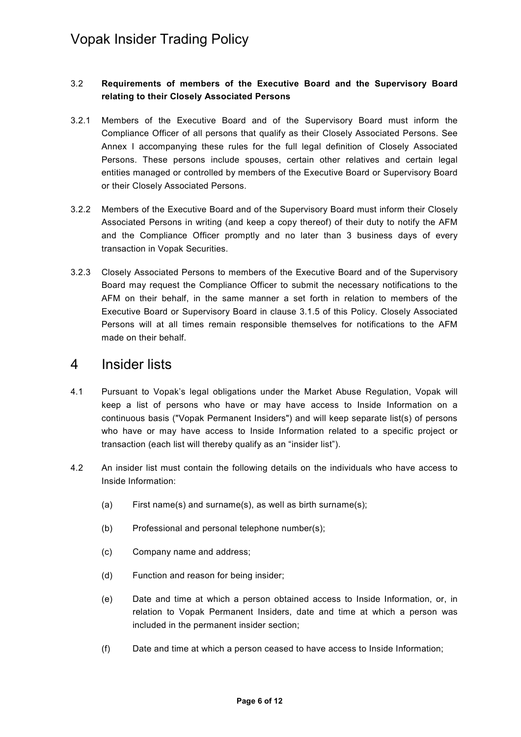#### 3.2 **Requirements of members of the Executive Board and the Supervisory Board relating to their Closely Associated Persons**

- 3.2.1 Members of the Executive Board and of the Supervisory Board must inform the Compliance Officer of all persons that qualify as their Closely Associated Persons. See Annex I accompanying these rules for the full legal definition of Closely Associated Persons. These persons include spouses, certain other relatives and certain legal entities managed or controlled by members of the Executive Board or Supervisory Board or their Closely Associated Persons.
- 3.2.2 Members of the Executive Board and of the Supervisory Board must inform their Closely Associated Persons in writing (and keep a copy thereof) of their duty to notify the AFM and the Compliance Officer promptly and no later than 3 business days of every transaction in Vopak Securities.
- 3.2.3 Closely Associated Persons to members of the Executive Board and of the Supervisory Board may request the Compliance Officer to submit the necessary notifications to the AFM on their behalf, in the same manner a set forth in relation to members of the Executive Board or Supervisory Board in clause [3.1.5](#page-4-3) of this Policy. Closely Associated Persons will at all times remain responsible themselves for notifications to the AFM made on their behalf.

### <span id="page-5-0"></span>4 Insider lists

- 4.1 Pursuant to Vopak's legal obligations under the Market Abuse Regulation, Vopak will keep a list of persons who have or may have access to Inside Information on a continuous basis ("Vopak Permanent Insiders") and will keep separate list(s) of persons who have or may have access to Inside Information related to a specific project or transaction (each list will thereby qualify as an "insider list").
- 4.2 An insider list must contain the following details on the individuals who have access to Inside Information:
	- (a) First name(s) and surname(s), as well as birth surname(s);
	- (b) Professional and personal telephone number(s);
	- (c) Company name and address;
	- (d) Function and reason for being insider;
	- (e) Date and time at which a person obtained access to Inside Information, or, in relation to Vopak Permanent Insiders, date and time at which a person was included in the permanent insider section;
	- (f) Date and time at which a person ceased to have access to Inside Information;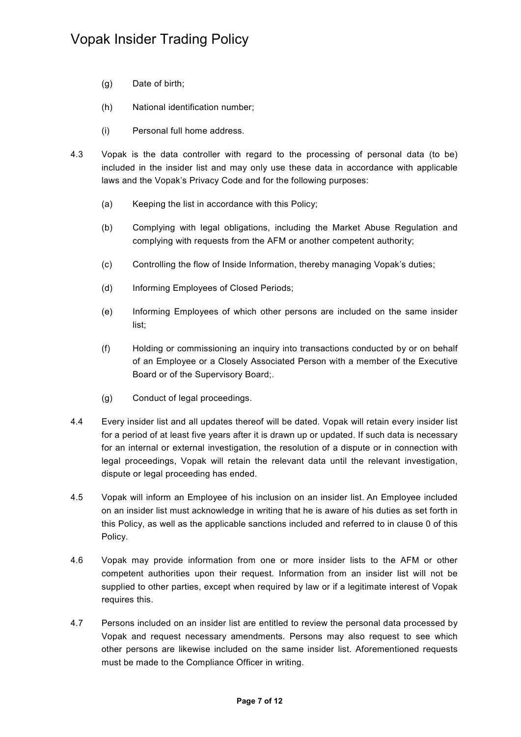- (g) Date of birth;
- (h) National identification number;
- (i) Personal full home address.
- 4.3 Vopak is the data controller with regard to the processing of personal data (to be) included in the insider list and may only use these data in accordance with applicable laws and the Vopak's Privacy Code and for the following purposes:
	- (a) Keeping the list in accordance with this Policy;
	- (b) Complying with legal obligations, including the Market Abuse Regulation and complying with requests from the AFM or another competent authority;
	- (c) Controlling the flow of Inside Information, thereby managing Vopak's duties;
	- (d) Informing Employees of Closed Periods;
	- (e) Informing Employees of which other persons are included on the same insider list;
	- (f) Holding or commissioning an inquiry into transactions conducted by or on behalf of an Employee or a Closely Associated Person with a member of the Executive Board or of the Supervisory Board;.
	- (g) Conduct of legal proceedings.
- 4.4 Every insider list and all updates thereof will be dated. Vopak will retain every insider list for a period of at least five years after it is drawn up or updated. If such data is necessary for an internal or external investigation, the resolution of a dispute or in connection with legal proceedings, Vopak will retain the relevant data until the relevant investigation, dispute or legal proceeding has ended.
- 4.5 Vopak will inform an Employee of his inclusion on an insider list. An Employee included on an insider list must acknowledge in writing that he is aware of his duties as set forth in this Policy, as well as the applicable sanctions included and referred to in clause [0](#page-7-1) of this Policy.
- 4.6 Vopak may provide information from one or more insider lists to the AFM or other competent authorities upon their request. Information from an insider list will not be supplied to other parties, except when required by law or if a legitimate interest of Vopak requires this.
- 4.7 Persons included on an insider list are entitled to review the personal data processed by Vopak and request necessary amendments. Persons may also request to see which other persons are likewise included on the same insider list. Aforementioned requests must be made to the Compliance Officer in writing.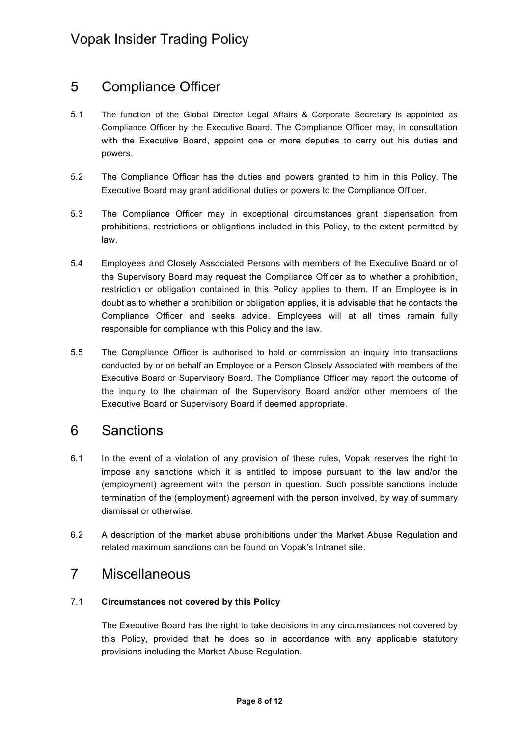## <span id="page-7-0"></span>5 Compliance Officer

- 5.1 The function of the Global Director Legal Affairs & Corporate Secretary is appointed as Compliance Officer by the Executive Board. The Compliance Officer may, in consultation with the Executive Board, appoint one or more deputies to carry out his duties and powers.
- 5.2 The Compliance Officer has the duties and powers granted to him in this Policy. The Executive Board may grant additional duties or powers to the Compliance Officer.
- 5.3 The Compliance Officer may in exceptional circumstances grant dispensation from prohibitions, restrictions or obligations included in this Policy, to the extent permitted by law.
- 5.4 Employees and Closely Associated Persons with members of the Executive Board or of the Supervisory Board may request the Compliance Officer as to whether a prohibition, restriction or obligation contained in this Policy applies to them. If an Employee is in doubt as to whether a prohibition or obligation applies, it is advisable that he contacts the Compliance Officer and seeks advice. Employees will at all times remain fully responsible for compliance with this Policy and the law.
- 5.5 The Compliance Officer is authorised to hold or commission an inquiry into transactions conducted by or on behalf an Employee or a Person Closely Associated with members of the Executive Board or Supervisory Board. The Compliance Officer may report the outcome of the inquiry to the chairman of the Supervisory Board and/or other members of the Executive Board or Supervisory Board if deemed appropriate.

## <span id="page-7-1"></span>6 Sanctions

- 6.1 In the event of a violation of any provision of these rules, Vopak reserves the right to impose any sanctions which it is entitled to impose pursuant to the law and/or the (employment) agreement with the person in question. Such possible sanctions include termination of the (employment) agreement with the person involved, by way of summary dismissal or otherwise.
- 6.2 A description of the market abuse prohibitions under the Market Abuse Regulation and related maximum sanctions can be found on Vopak's Intranet site.

## <span id="page-7-2"></span>7 Miscellaneous

#### 7.1 **Circumstances not covered by this Policy**

The Executive Board has the right to take decisions in any circumstances not covered by this Policy, provided that he does so in accordance with any applicable statutory provisions including the Market Abuse Regulation.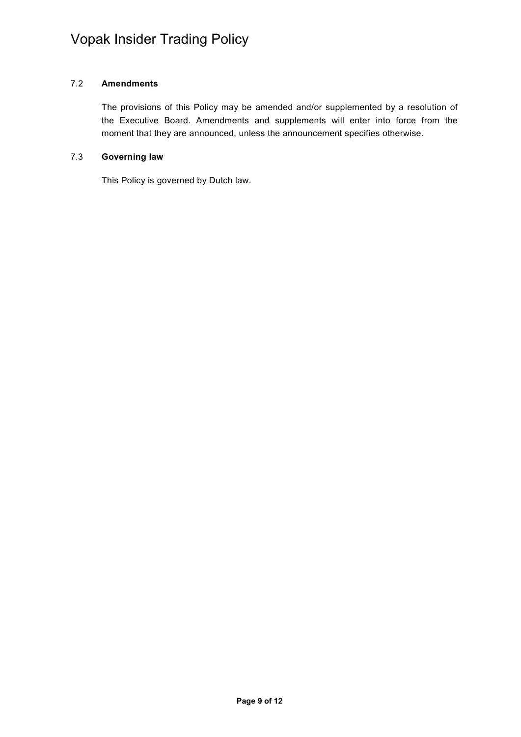#### 7.2 **Amendments**

The provisions of this Policy may be amended and/or supplemented by a resolution of the Executive Board. Amendments and supplements will enter into force from the moment that they are announced, unless the announcement specifies otherwise.

#### 7.3 **Governing law**

This Policy is governed by Dutch law.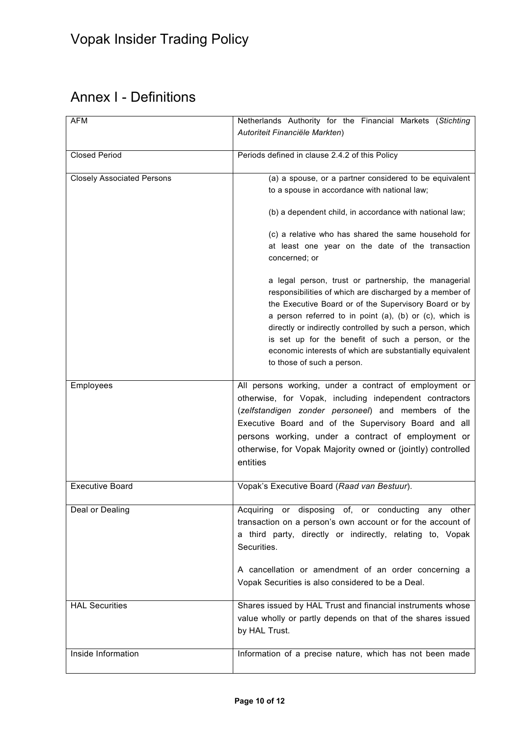## <span id="page-9-0"></span>Annex I - Definitions

| <b>AFM</b>                        | Netherlands Authority for the Financial Markets (Stichting                                                                                                                                                                                                                                                                                                                                                                                                                                                                                                                                         |
|-----------------------------------|----------------------------------------------------------------------------------------------------------------------------------------------------------------------------------------------------------------------------------------------------------------------------------------------------------------------------------------------------------------------------------------------------------------------------------------------------------------------------------------------------------------------------------------------------------------------------------------------------|
|                                   | Autoriteit Financiële Markten)                                                                                                                                                                                                                                                                                                                                                                                                                                                                                                                                                                     |
| <b>Closed Period</b>              | Periods defined in clause 2.4.2 of this Policy                                                                                                                                                                                                                                                                                                                                                                                                                                                                                                                                                     |
| <b>Closely Associated Persons</b> | (a) a spouse, or a partner considered to be equivalent<br>to a spouse in accordance with national law;<br>(b) a dependent child, in accordance with national law;<br>(c) a relative who has shared the same household for<br>at least one year on the date of the transaction<br>concerned; or<br>a legal person, trust or partnership, the managerial<br>responsibilities of which are discharged by a member of<br>the Executive Board or of the Supervisory Board or by<br>a person referred to in point (a), (b) or (c), which is<br>directly or indirectly controlled by such a person, which |
|                                   | is set up for the benefit of such a person, or the<br>economic interests of which are substantially equivalent<br>to those of such a person.                                                                                                                                                                                                                                                                                                                                                                                                                                                       |
| Employees                         | All persons working, under a contract of employment or<br>otherwise, for Vopak, including independent contractors<br>(zelfstandigen zonder personeel) and members of the<br>Executive Board and of the Supervisory Board and all<br>persons working, under a contract of employment or<br>otherwise, for Vopak Majority owned or (jointly) controlled<br>entities                                                                                                                                                                                                                                  |
| <b>Executive Board</b>            | Vopak's Executive Board (Raad van Bestuur).                                                                                                                                                                                                                                                                                                                                                                                                                                                                                                                                                        |
| Deal or Dealing                   | Acquiring or disposing of, or conducting any other<br>transaction on a person's own account or for the account of<br>a third party, directly or indirectly, relating to, Vopak<br>Securities.<br>A cancellation or amendment of an order concerning a                                                                                                                                                                                                                                                                                                                                              |
|                                   | Vopak Securities is also considered to be a Deal.                                                                                                                                                                                                                                                                                                                                                                                                                                                                                                                                                  |
| <b>HAL Securities</b>             | Shares issued by HAL Trust and financial instruments whose<br>value wholly or partly depends on that of the shares issued<br>by HAL Trust.                                                                                                                                                                                                                                                                                                                                                                                                                                                         |
| Inside Information                | Information of a precise nature, which has not been made                                                                                                                                                                                                                                                                                                                                                                                                                                                                                                                                           |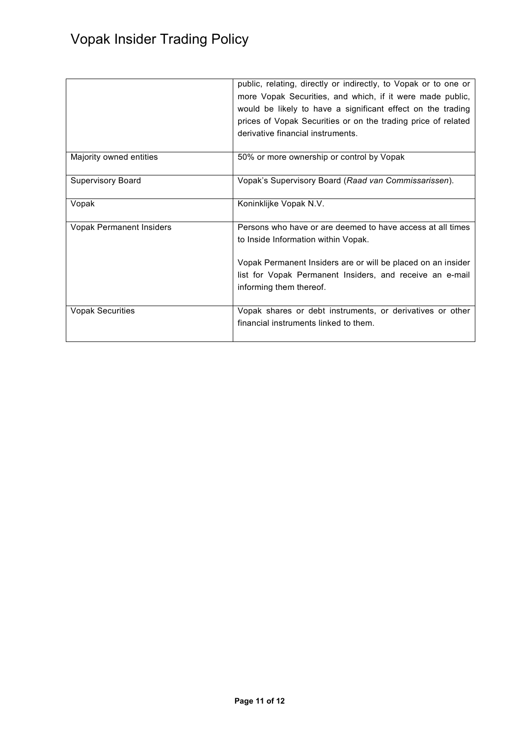<span id="page-10-0"></span>

|                                 | public, relating, directly or indirectly, to Vopak or to one or<br>more Vopak Securities, and which, if it were made public,<br>would be likely to have a significant effect on the trading<br>prices of Vopak Securities or on the trading price of related<br>derivative financial instruments. |
|---------------------------------|---------------------------------------------------------------------------------------------------------------------------------------------------------------------------------------------------------------------------------------------------------------------------------------------------|
| Majority owned entities         | 50% or more ownership or control by Vopak                                                                                                                                                                                                                                                         |
| Supervisory Board               | Vopak's Supervisory Board (Raad van Commissarissen).                                                                                                                                                                                                                                              |
| Vopak                           | Koninklijke Vopak N.V.                                                                                                                                                                                                                                                                            |
| <b>Vopak Permanent Insiders</b> | Persons who have or are deemed to have access at all times<br>to Inside Information within Vopak.<br>Vopak Permanent Insiders are or will be placed on an insider<br>list for Vopak Permanent Insiders, and receive an e-mail<br>informing them thereof.                                          |
| <b>Vopak Securities</b>         | Vopak shares or debt instruments, or derivatives or other<br>financial instruments linked to them.                                                                                                                                                                                                |